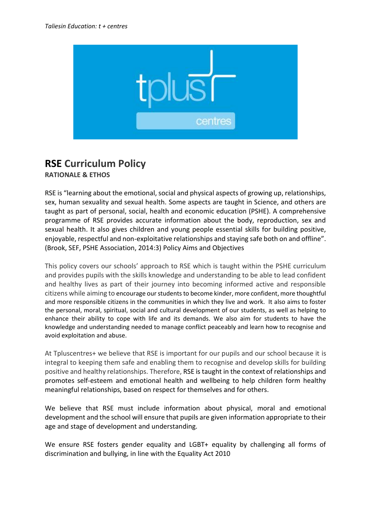

# **RSE Curriculum Policy**

**RATIONALE & ETHOS**

RSE is "learning about the emotional, social and physical aspects of growing up, relationships, sex, human sexuality and sexual health. Some aspects are taught in Science, and others are taught as part of personal, social, health and economic education (PSHE). A comprehensive programme of RSE provides accurate information about the body, reproduction, sex and sexual health. It also gives children and young people essential skills for building positive, enjoyable, respectful and non-exploitative relationships and staying safe both on and offline". (Brook, SEF, PSHE Association, 2014:3) Policy Aims and Objectives

This policy covers our schools' approach to RSE which is taught within the PSHE curriculum and provides pupils with the skills knowledge and understanding to be able to lead confident and healthy lives as part of their journey into becoming informed active and responsible citizens while aiming to encourage our students to become kinder, more confident, more thoughtful and more responsible citizens in the communities in which they live and work. It also aims to foster the personal, moral, spiritual, social and cultural development of our students, as well as helping to enhance their ability to cope with life and its demands. We also aim for students to have the knowledge and understanding needed to manage conflict peaceably and learn how to recognise and avoid exploitation and abuse.

At Tpluscentres+ we believe that RSE is important for our pupils and our school because it is integral to keeping them safe and enabling them to recognise and develop skills for building positive and healthy relationships. Therefore, RSE is taught in the context of relationships and promotes self-esteem and emotional health and wellbeing to help children form healthy meaningful relationships, based on respect for themselves and for others.

We believe that RSE must include information about physical, moral and emotional development and the school will ensure that pupils are given information appropriate to their age and stage of development and understanding.

We ensure RSE fosters gender equality and LGBT+ equality by challenging all forms of discrimination and bullying, in line with the Equality Act 2010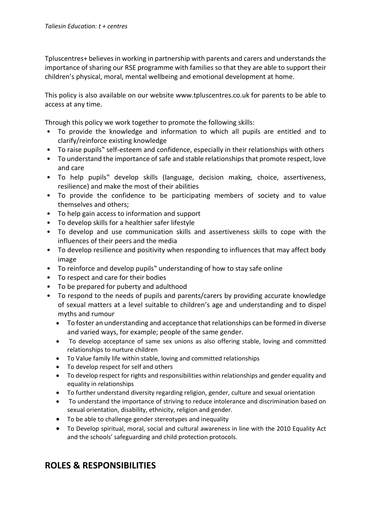Tpluscentres+ believes in working in partnership with parents and carers and understands the importance of sharing our RSE programme with families so that they are able to support their children's physical, moral, mental wellbeing and emotional development at home.

This policy is also available on our website www.tpluscentres.co.uk for parents to be able to access at any time.

Through this policy we work together to promote the following skills:

- To provide the knowledge and information to which all pupils are entitled and to clarify/reinforce existing knowledge
- To raise pupils" self-esteem and confidence, especially in their relationships with others
- To understand the importance of safe and stable relationships that promote respect, love and care
- To help pupils" develop skills (language, decision making, choice, assertiveness, resilience) and make the most of their abilities
- To provide the confidence to be participating members of society and to value themselves and others;
- To help gain access to information and support
- To develop skills for a healthier safer lifestyle
- To develop and use communication skills and assertiveness skills to cope with the influences of their peers and the media
- To develop resilience and positivity when responding to influences that may affect body image
- To reinforce and develop pupils" understanding of how to stay safe online
- To respect and care for their bodies
- To be prepared for puberty and adulthood
- To respond to the needs of pupils and parents/carers by providing accurate knowledge of sexual matters at a level suitable to children's age and understanding and to dispel myths and rumour
	- To foster an understanding and acceptance that relationships can be formed in diverse and varied ways, for example; people of the same gender.
	- To develop acceptance of same sex unions as also offering stable, loving and committed relationships to nurture children
	- To Value family life within stable, loving and committed relationships
	- To develop respect for self and others
	- To develop respect for rights and responsibilities within relationships and gender equality and equality in relationships
	- To further understand diversity regarding religion, gender, culture and sexual orientation
	- To understand the importance of striving to reduce intolerance and discrimination based on sexual orientation, disability, ethnicity, religion and gender.
	- To be able to challenge gender stereotypes and inequality
	- To Develop spiritual, moral, social and cultural awareness in line with the 2010 Equality Act and the schools' safeguarding and child protection protocols.

## **ROLES & RESPONSIBILITIES**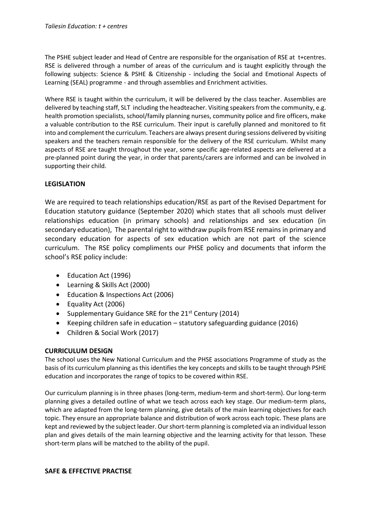The PSHE subject leader and Head of Centre are responsible for the organisation of RSE at t+centres. RSE is delivered through a number of areas of the curriculum and is taught explicitly through the following subjects: Science & PSHE & Citizenship - including the Social and Emotional Aspects of Learning (SEAL) programme - and through assemblies and Enrichment activities.

Where RSE is taught within the curriculum, it will be delivered by the class teacher. Assemblies are delivered by teaching staff, SLT including the headteacher. Visiting speakers from the community, e.g. health promotion specialists, school/family planning nurses, community police and fire officers, make a valuable contribution to the RSE curriculum. Their input is carefully planned and monitored to fit into and complement the curriculum. Teachers are always present during sessions delivered by visiting speakers and the teachers remain responsible for the delivery of the RSE curriculum. Whilst many aspects of RSE are taught throughout the year, some specific age-related aspects are delivered at a pre-planned point during the year, in order that parents/carers are informed and can be involved in supporting their child.

#### **LEGISLATION**

We are required to teach relationships education/RSE as part of the Revised Department for Education statutory guidance (September 2020) which states that all schools must deliver relationships education (in primary schools) and relationships and sex education (in secondary education), The parental right to withdraw pupils from RSE remains in primary and secondary education for aspects of sex education which are not part of the science curriculum. The RSE policy compliments our PHSE policy and documents that inform the school's RSE policy include:

- Education Act (1996)
- Learning & Skills Act (2000)
- Education & Inspections Act (2006)
- Equality Act (2006)
- Supplementary Guidance SRE for the  $21<sup>st</sup>$  Century (2014)
- Keeping children safe in education statutory safeguarding guidance (2016)
- Children & Social Work (2017)

#### **CURRICULUM DESIGN**

The school uses the New National Curriculum and the PHSE associations Programme of study as the basis of its curriculum planning as this identifies the key concepts and skills to be taught through PSHE education and incorporates the range of topics to be covered within RSE.

Our curriculum planning is in three phases (long-term, medium-term and short-term). Our long-term planning gives a detailed outline of what we teach across each key stage. Our medium-term plans, which are adapted from the long-term planning, give details of the main learning objectives for each topic. They ensure an appropriate balance and distribution of work across each topic. These plans are kept and reviewed by the subject leader. Our short-term planning is completed via an individual lesson plan and gives details of the main learning objective and the learning activity for that lesson. These short-term plans will be matched to the ability of the pupil.

**SAFE & EFFECTIVE PRACTISE**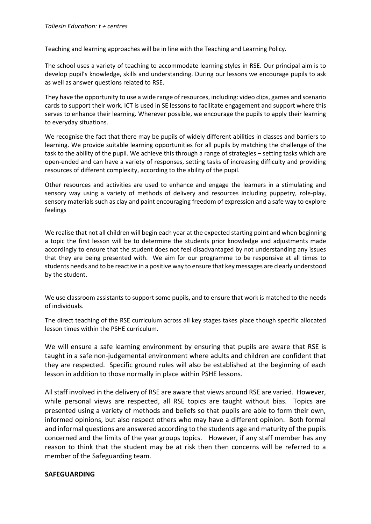Teaching and learning approaches will be in line with the Teaching and Learning Policy.

The school uses a variety of teaching to accommodate learning styles in RSE. Our principal aim is to develop pupil's knowledge, skills and understanding. During our lessons we encourage pupils to ask as well as answer questions related to RSE.

They have the opportunity to use a wide range of resources, including: video clips, games and scenario cards to support their work. ICT is used in SE lessons to facilitate engagement and support where this serves to enhance their learning. Wherever possible, we encourage the pupils to apply their learning to everyday situations.

We recognise the fact that there may be pupils of widely different abilities in classes and barriers to learning. We provide suitable learning opportunities for all pupils by matching the challenge of the task to the ability of the pupil. We achieve this through a range of strategies – setting tasks which are open-ended and can have a variety of responses, setting tasks of increasing difficulty and providing resources of different complexity, according to the ability of the pupil.

Other resources and activities are used to enhance and engage the learners in a stimulating and sensory way using a variety of methods of delivery and resources including puppetry, role-play, sensory materials such as clay and paint encouraging freedom of expression and a safe way to explore feelings

We realise that not all children will begin each year at the expected starting point and when beginning a topic the first lesson will be to determine the students prior knowledge and adjustments made accordingly to ensure that the student does not feel disadvantaged by not understanding any issues that they are being presented with. We aim for our programme to be responsive at all times to students needs and to be reactive in a positive way to ensure that key messages are clearly understood by the student.

We use classroom assistants to support some pupils, and to ensure that work is matched to the needs of individuals.

The direct teaching of the RSE curriculum across all key stages takes place though specific allocated lesson times within the PSHE curriculum.

We will ensure a safe learning environment by ensuring that pupils are aware that RSE is taught in a safe non-judgemental environment where adults and children are confident that they are respected. Specific ground rules will also be established at the beginning of each lesson in addition to those normally in place within PSHE lessons.

All staff involved in the delivery of RSE are aware that views around RSE are varied. However, while personal views are respected, all RSE topics are taught without bias. Topics are presented using a variety of methods and beliefs so that pupils are able to form their own, informed opinions, but also respect others who may have a different opinion. Both formal and informal questions are answered according to the students age and maturity of the pupils concerned and the limits of the year groups topics. However, if any staff member has any reason to think that the student may be at risk then then concerns will be referred to a member of the Safeguarding team.

#### **SAFEGUARDING**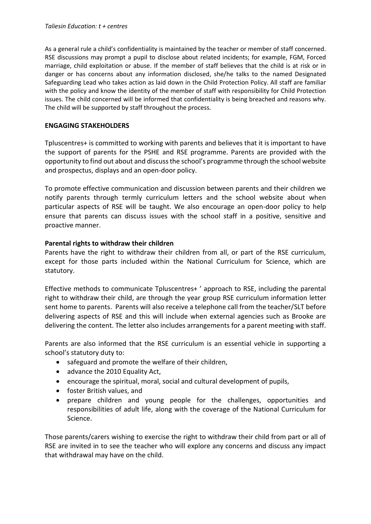As a general rule a child's confidentiality is maintained by the teacher or member of staff concerned. RSE discussions may prompt a pupil to disclose about related incidents; for example, FGM, Forced marriage, child exploitation or abuse. If the member of staff believes that the child is at risk or in danger or has concerns about any information disclosed, she/he talks to the named Designated Safeguarding Lead who takes action as laid down in the Child Protection Policy. All staff are familiar with the policy and know the identity of the member of staff with responsibility for Child Protection issues. The child concerned will be informed that confidentiality is being breached and reasons why. The child will be supported by staff throughout the process.

#### **ENGAGING STAKEHOLDERS**

Tpluscentres+ is committed to working with parents and believes that it is important to have the support of parents for the PSHE and RSE programme. Parents are provided with the opportunity to find out about and discuss the school's programme through the school website and prospectus, displays and an open-door policy.

To promote effective communication and discussion between parents and their children we notify parents through termly curriculum letters and the school website about when particular aspects of RSE will be taught. We also encourage an open-door policy to help ensure that parents can discuss issues with the school staff in a positive, sensitive and proactive manner.

### **Parental rights to withdraw their children**

Parents have the right to withdraw their children from all, or part of the RSE curriculum, except for those parts included within the National Curriculum for Science, which are statutory.

Effective methods to communicate Tpluscentres+ ' approach to RSE, including the parental right to withdraw their child, are through the year group RSE curriculum information letter sent home to parents. Parents will also receive a telephone call from the teacher/SLT before delivering aspects of RSE and this will include when external agencies such as Brooke are delivering the content. The letter also includes arrangements for a parent meeting with staff.

Parents are also informed that the RSE curriculum is an essential vehicle in supporting a school's statutory duty to:

- safeguard and promote the welfare of their children,
- advance the 2010 Equality Act,
- encourage the spiritual, moral, social and cultural development of pupils,
- foster British values, and
- prepare children and young people for the challenges, opportunities and responsibilities of adult life, along with the coverage of the National Curriculum for Science.

Those parents/carers wishing to exercise the right to withdraw their child from part or all of RSE are invited in to see the teacher who will explore any concerns and discuss any impact that withdrawal may have on the child.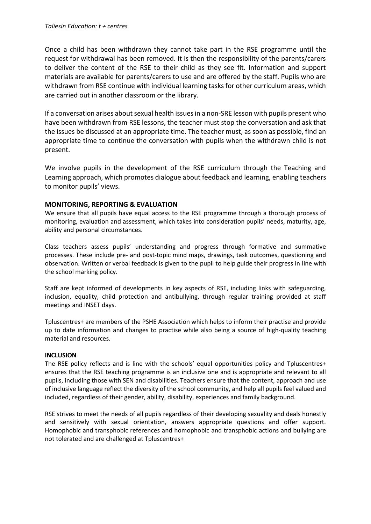Once a child has been withdrawn they cannot take part in the RSE programme until the request for withdrawal has been removed. It is then the responsibility of the parents/carers to deliver the content of the RSE to their child as they see fit. Information and support materials are available for parents/carers to use and are offered by the staff. Pupils who are withdrawn from RSE continue with individual learning tasks for other curriculum areas, which are carried out in another classroom or the library.

If a conversation arises about sexual health issues in a non-SRE lesson with pupils present who have been withdrawn from RSE lessons, the teacher must stop the conversation and ask that the issues be discussed at an appropriate time. The teacher must, as soon as possible, find an appropriate time to continue the conversation with pupils when the withdrawn child is not present.

We involve pupils in the development of the RSE curriculum through the Teaching and Learning approach, which promotes dialogue about feedback and learning, enabling teachers to monitor pupils' views.

#### **MONITORING, REPORTING & EVALUATION**

We ensure that all pupils have equal access to the RSE programme through a thorough process of monitoring, evaluation and assessment, which takes into consideration pupils' needs, maturity, age, ability and personal circumstances.

Class teachers assess pupils' understanding and progress through formative and summative processes. These include pre- and post-topic mind maps, drawings, task outcomes, questioning and observation. Written or verbal feedback is given to the pupil to help guide their progress in line with the school marking policy.

Staff are kept informed of developments in key aspects of RSE, including links with safeguarding, inclusion, equality, child protection and antibullying, through regular training provided at staff meetings and INSET days.

Tpluscentres+ are members of the PSHE Association which helps to inform their practise and provide up to date information and changes to practise while also being a source of high-quality teaching material and resources.

#### **INCLUSION**

The RSE policy reflects and is line with the schools' equal opportunities policy and Tpluscentres+ ensures that the RSE teaching programme is an inclusive one and is appropriate and relevant to all pupils, including those with SEN and disabilities. Teachers ensure that the content, approach and use of inclusive language reflect the diversity of the school community, and help all pupils feel valued and included, regardless of their gender, ability, disability, experiences and family background.

RSE strives to meet the needs of all pupils regardless of their developing sexuality and deals honestly and sensitively with sexual orientation, answers appropriate questions and offer support. Homophobic and transphobic references and homophobic and transphobic actions and bullying are not tolerated and are challenged at Tpluscentres+